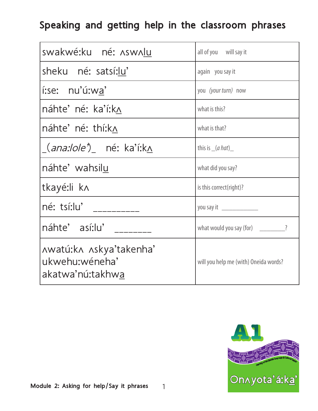## Speaking and getting help in the classroom phrases

| swakwé:ku né: Aswalu                                          | all of you will say it                |  |  |
|---------------------------------------------------------------|---------------------------------------|--|--|
| sheku né: satsí:lu'                                           | again you say it                      |  |  |
| í:se: nu'ú:wa'                                                | you (your turn) now                   |  |  |
| náhte' né: ka'í:k∧                                            | what is this?                         |  |  |
| náhte' né: thí:k^                                             | what is that?                         |  |  |
| _( <i>ana:lole'</i> )_ né: ka'í:k <u>ʌ</u>                    | this is $(a hat)$                     |  |  |
| náhte' wahsilu                                                | what did you say?                     |  |  |
| tkayé:li k^                                                   | is this correct(right)?               |  |  |
| né: tsí:lu' __________                                        |                                       |  |  |
| náhte' así:lu'                                                | what would you say (for) _________?   |  |  |
| Awatú:kA Askya'takenha'<br>ukwehu:wéneha'<br>akatwa'nú:takhwa | will you help me (with) Oneida words? |  |  |